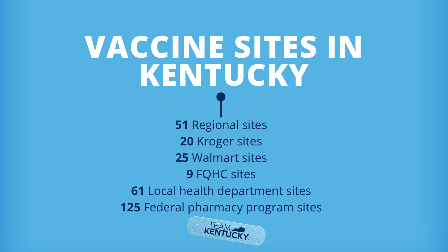# **VACCINE SITES IN KENTUCKY**

 Regional sites Kroger sites Walmart sites FQHC sites Local health department sites Federal pharmacy program sites

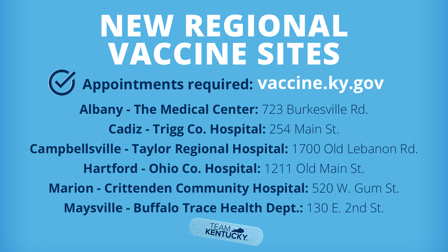**NEW REGIONAL VACCINE SITES Albany - The Medical Center:** 723 Burkesville Rd. **Cadiz - Trigg Co. Hospital:** 254 Main St. **Campbellsville - Taylor Regional Hospital:** 1700 Old Lebanon Rd. **Hartford - Ohio Co. Hospital:** 1211 Old Main St. **Marion - Crittenden Community Hospital:** 520 W. Gum St. **Maysville - Buffalo Trace Health Dept.:** 130 E. 2nd St. **Appointments required: vaccine.ky.gov**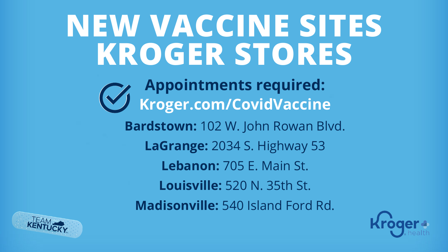#### **NEW VACCINE SITES KROGER STORES Kroger.com/CovidVaccine Bardstown:** 102 W. John Rowan Blvd. **LaGrange:** 2034 S. Highway 53 **Lebanon:** 705 E. Main St. **Louisville:** 520 N. 35th St. **Madisonville:** 540 Island Ford Rd. **Appointments required:**



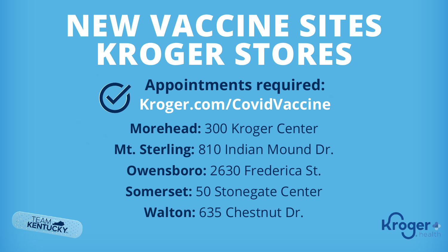#### **NEW VACCINE SITES KROGER STORES Morehead:** 300 Kroger Center **Mt. Sterling:** 810 Indian Mound Dr. **Owensboro:** 2630 Frederica St. **Somerset:** 50 Stonegate Center **Walton:** 635 Chestnut Dr. **Kroger.com/CovidVaccine Appointments required:**



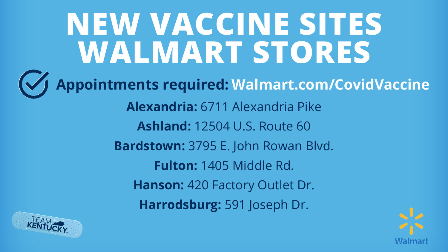### **Alexandria:** 6711 Alexandria Pike **Ashland:** 12504 U.S. Route 60 **Bardstown:** 3795 E. John Rowan Blvd. **Fulton:** 1405 Middle Rd. **Hanson:** 420 Factory Outlet Dr. **Harrodsburg:** 591 Joseph Dr. **NEW VACCINE SITES WALMART STORES Appointments required: Walmart.com/CovidVaccine**



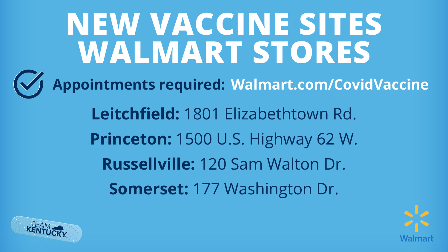### **Leitchfield:** 1801 Elizabethtown Rd. **Princeton:** 1500 U.S. Highway 62 W. **Russellville:** 120 Sam Walton Dr. **Somerset:** 177 Washington Dr. **NEW VACCINE SITES WALMART STORES Appointments required: Walmart.com/CovidVaccine**